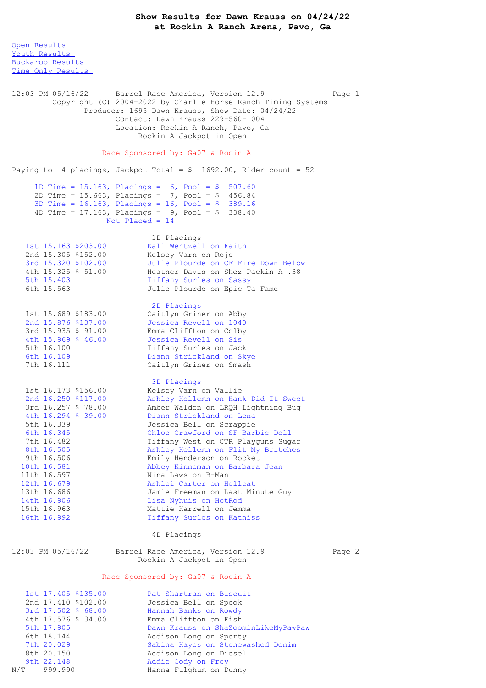Open [Results](file:///C:/Users/flori/Downloads/Show_Results_Dawn_Krauss_04_24_22%20(1).html#Open) Youth [Results](file:///C:/Users/flori/Downloads/Show_Results_Dawn_Krauss_04_24_22%20(1).html#Youth) [Buckaroo](file:///C:/Users/flori/Downloads/Show_Results_Dawn_Krauss_04_24_22%20(1).html#Buckaroo) Results Time Only [Results](file:///C:/Users/flori/Downloads/Show_Results_Dawn_Krauss_04_24_22%20(1).html#Time%20Only) 12:03 PM 05/16/22 Barrel Race America, Version 12.9 Page 1 Copyright (C) 2004-2022 by Charlie Horse Ranch Timing Systems Producer: 1695 Dawn Krauss, Show Date: 04/24/22 Contact: Dawn Krauss 229-560-1004 Location: Rockin A Ranch, Pavo, Ga Rockin A Jackpot in Open Race Sponsored by: Ga07 & Rocin A Paying to 4 placings, Jackpot Total =  $$ 1692.00$ , Rider count = 52 1D Time = 15.163, Placings = 6, Pool = \$ 507.60 2D Time = 15.663, Placings = 7, Pool = \$ 456.84 3D Time = 16.163, Placings = 16, Pool = \$ 389.16 4D Time =  $17.163$ , Placings =  $9$ , Pool =  $$338.40$ Not Placed = 14 1D Placings<br>Kali Wentzell on Faith 1st 15.163 \$203.00 Kali Wentzell on Faith 2nd 15.305 \$152.00 Kelsey Varn on Rojo 3rd 15.320 \$102.00 Julie Plourde on CF Fire Down Below 4th 15.325 \$ 51.00 Heather Davis on Shez Packin A .38 5th 15.403 Tiffany Surles on Sassy 6th 15.563 Julie Plourde on Epic Ta Fame 2D Placings 1st 15.689 \$183.00 Caitlyn Griner on Abby 2nd 15.876 \$137.00 Jessica Revell on 1040 3rd 15.935 \$ 91.00 Emma Cliffton on Colby 4th 15.969 \$ 46.00 Jessica Revell on Sis 5th 16.100 Tiffany Surles on Jack 6th 16.109 Diann Strickland on Skye 7th 16.111 Caitlyn Griner on Smash 3D Placings 1st 16.173 \$156.00 Kelsey Varn on Vallie 2nd 16.250 \$117.00 Ashley Hellemn on Hank Did It Sweet 3rd 16.257 \$ 78.00 Amber Walden on LRQH Lightning Bug 4th 16.294 \$ 39.00 Diann Strickland on Lena 5th 16.339 Jessica Bell on Scrappie 6th 16.345 Chloe Crawford on SF Barbie Doll 7th 16.482 Tiffany West on CTR Playguns Sugar 8th 16.505 Ashley Hellemn on Flit My Britches 9th 16.506 Emily Henderson on Rocket 10th 16.581 Abbey Kinneman on Barbara Jean 11th 16.597 Nina Laws on B-Man 12th 16.679 Ashlei Carter on Hellcat 13th 16.686 Jamie Freeman on Last Minute Guy 14th 16.906 Lisa Nyhuis on HotRod 15th 16.963 Mattie Harrell on Jemma 16th 16.992 Tiffany Surles on Katniss 4D Placings 12:03 PM 05/16/22 Barrel Race America, Version 12.9 Page 2 Rockin A Jackpot in Open Race Sponsored by: Ga07 & Rocin A 1st 17.405 \$135.00 Pat Shartran on Biscuit 2nd 17.410 \$102.00 Jessica Bell on Spook 3rd 17.502 \$ 68.00 Hannah Banks on Rowdy 4th 17.576 \$ 34.00 Emma Cliffton on Fish 5th 17.905 Dawn Krauss on ShaZoominLikeMyPawPaw 6th 18.144 Addison Long on Sporty 7th 20.029 Sabina Hayes on Stonewashed Denim 8th 20.150 Addison Long on Diesel

9th 22.148 Addie Cody on Frey N/T 999.990 Hanna Fulghum on Dunny